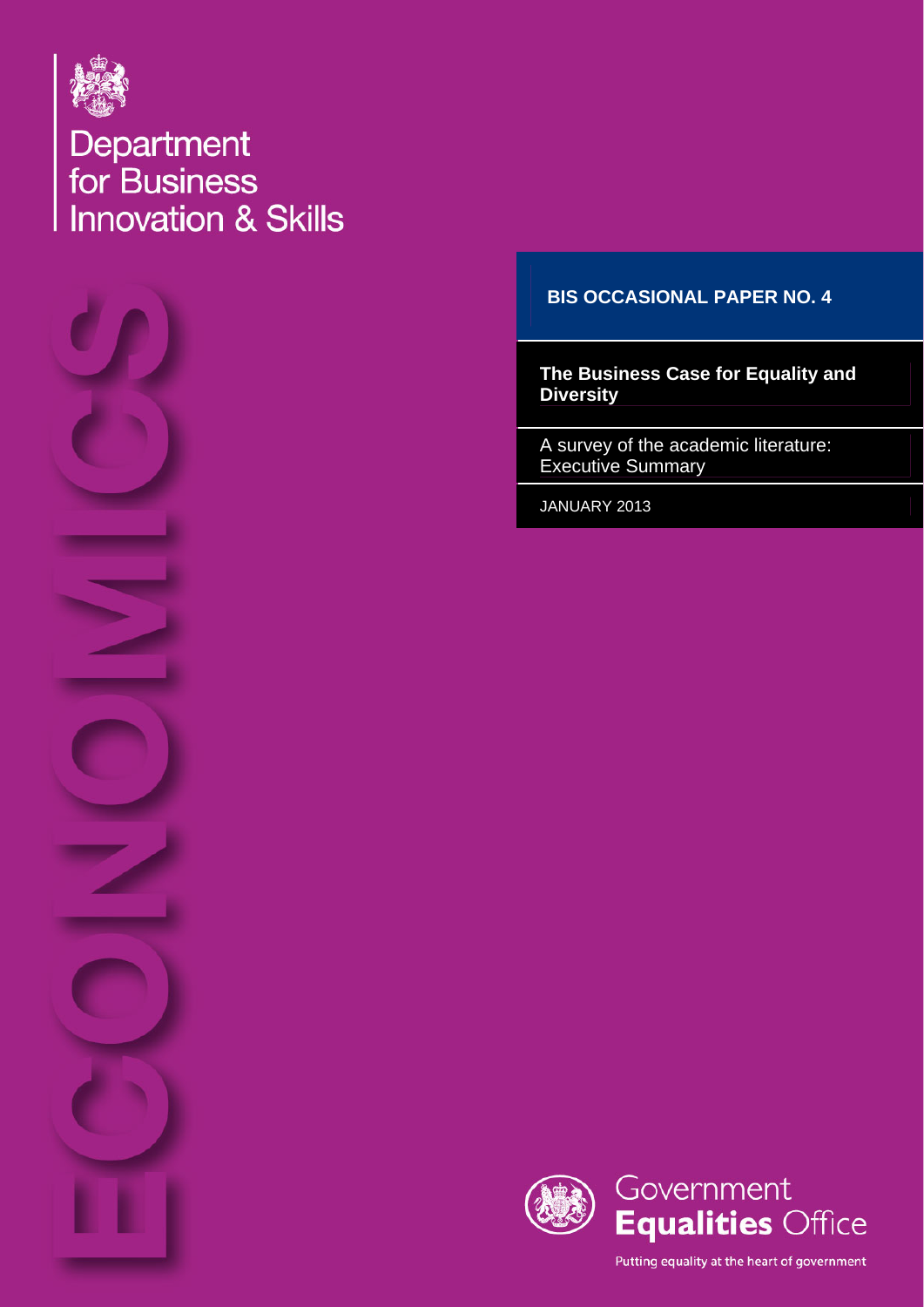

Department<br>for Business<br>Innovation & Skills



## **BIS OCCASIONAL PAPER NO. 4**

**The Business Case for Equality and Diversity** 

A survey of the academic literature: Executive Summary

JANUARY 2013



Putting equality at the heart of government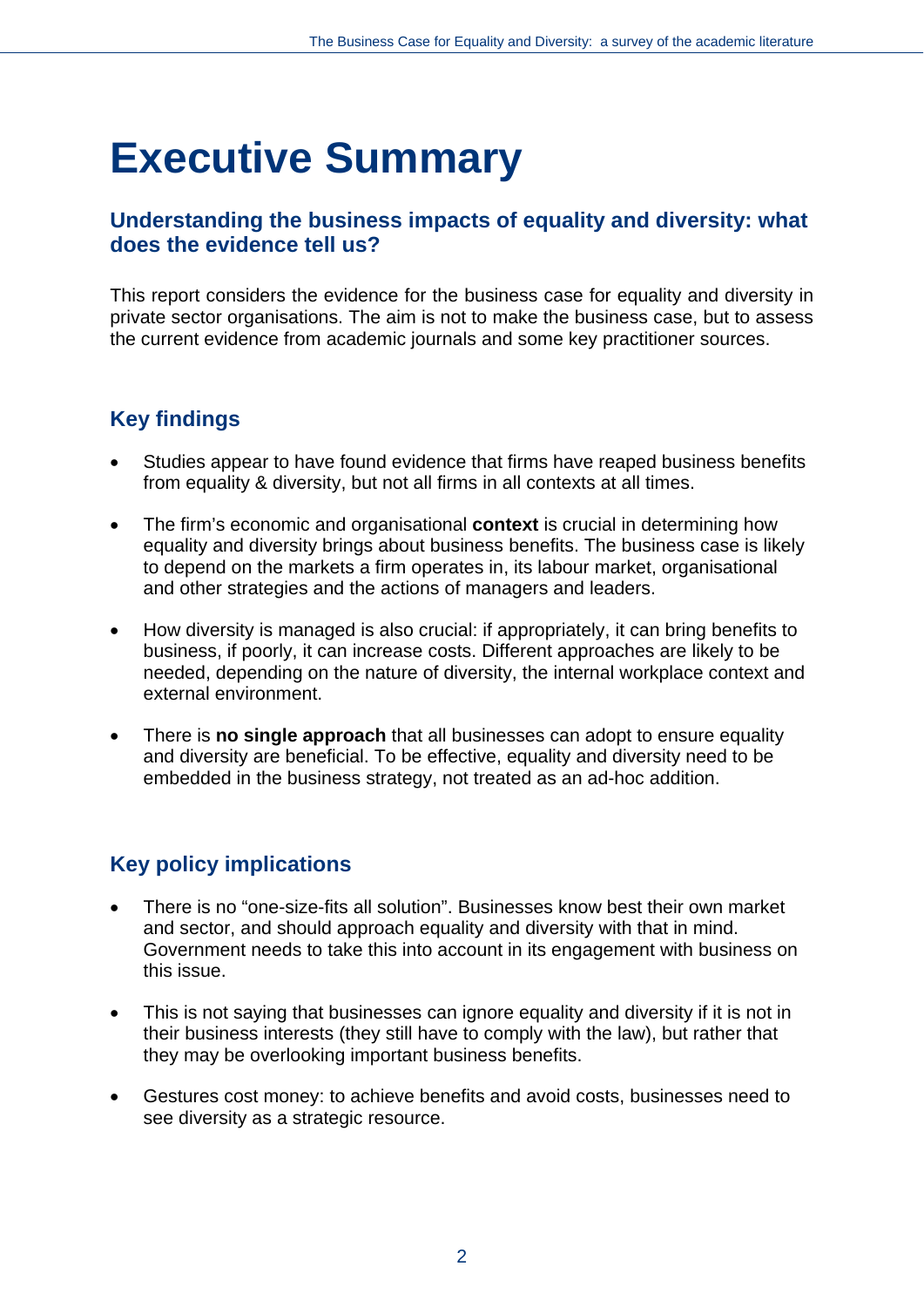# **Executive Summary**

## **Understanding the business impacts of equality and diversity: what does the evidence tell us?**

This report considers the evidence for the business case for equality and diversity in private sector organisations. The aim is not to make the business case, but to assess the current evidence from academic journals and some key practitioner sources.

# **Key findings**

- Studies appear to have found evidence that firms have reaped business benefits from equality & diversity, but not all firms in all contexts at all times.
- The firm's economic and organisational **context** is crucial in determining how equality and diversity brings about business benefits. The business case is likely to depend on the markets a firm operates in, its labour market, organisational and other strategies and the actions of managers and leaders.
- How diversity is managed is also crucial: if appropriately, it can bring benefits to business, if poorly, it can increase costs. Different approaches are likely to be needed, depending on the nature of diversity, the internal workplace context and external environment.
- There is **no single approach** that all businesses can adopt to ensure equality and diversity are beneficial. To be effective, equality and diversity need to be embedded in the business strategy, not treated as an ad-hoc addition.

# **Key policy implications**

- There is no "one-size-fits all solution". Businesses know best their own market and sector, and should approach equality and diversity with that in mind. Government needs to take this into account in its engagement with business on this issue.
- This is not saying that businesses can ignore equality and diversity if it is not in their business interests (they still have to comply with the law), but rather that they may be overlooking important business benefits.
- Gestures cost money: to achieve benefits and avoid costs, businesses need to see diversity as a strategic resource.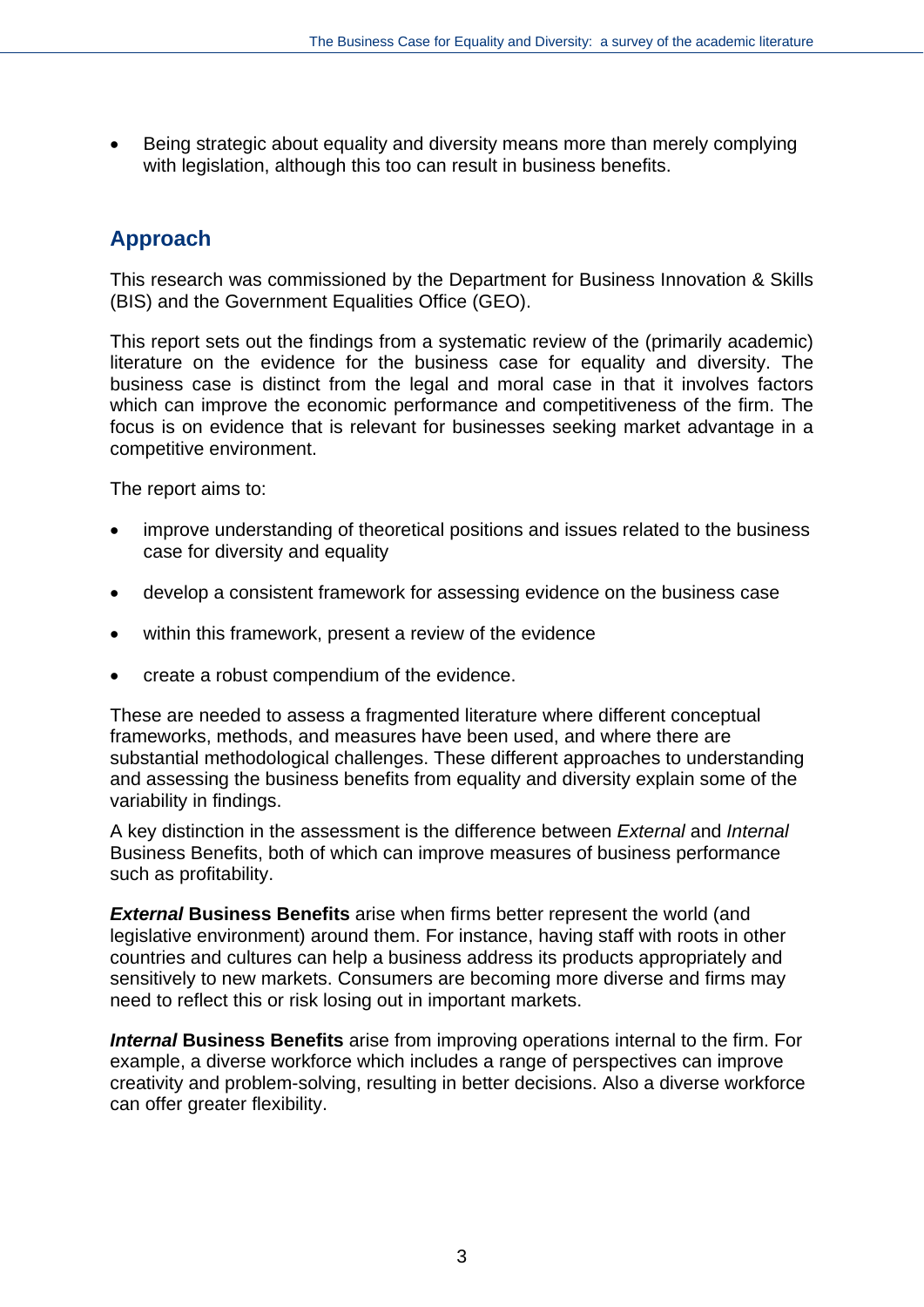Being strategic about equality and diversity means more than merely complying with legislation, although this too can result in business benefits.

# **Approach**

This research was commissioned by the Department for Business Innovation & Skills (BIS) and the Government Equalities Office (GEO).

This report sets out the findings from a systematic review of the (primarily academic) literature on the evidence for the business case for equality and diversity. The business case is distinct from the legal and moral case in that it involves factors which can improve the economic performance and competitiveness of the firm. The focus is on evidence that is relevant for businesses seeking market advantage in a competitive environment.

The report aims to:

- improve understanding of theoretical positions and issues related to the business case for diversity and equality
- develop a consistent framework for assessing evidence on the business case
- within this framework, present a review of the evidence
- create a robust compendium of the evidence.

These are needed to assess a fragmented literature where different conceptual frameworks, methods, and measures have been used, and where there are substantial methodological challenges. These different approaches to understanding and assessing the business benefits from equality and diversity explain some of the variability in findings.

A key distinction in the assessment is the difference between *External* and *Internal* Business Benefits, both of which can improve measures of business performance such as profitability.

*External* **Business Benefits** arise when firms better represent the world (and legislative environment) around them. For instance, having staff with roots in other countries and cultures can help a business address its products appropriately and sensitively to new markets. Consumers are becoming more diverse and firms may need to reflect this or risk losing out in important markets.

*Internal* **Business Benefits** arise from improving operations internal to the firm. For example, a diverse workforce which includes a range of perspectives can improve creativity and problem-solving, resulting in better decisions. Also a diverse workforce can offer greater flexibility.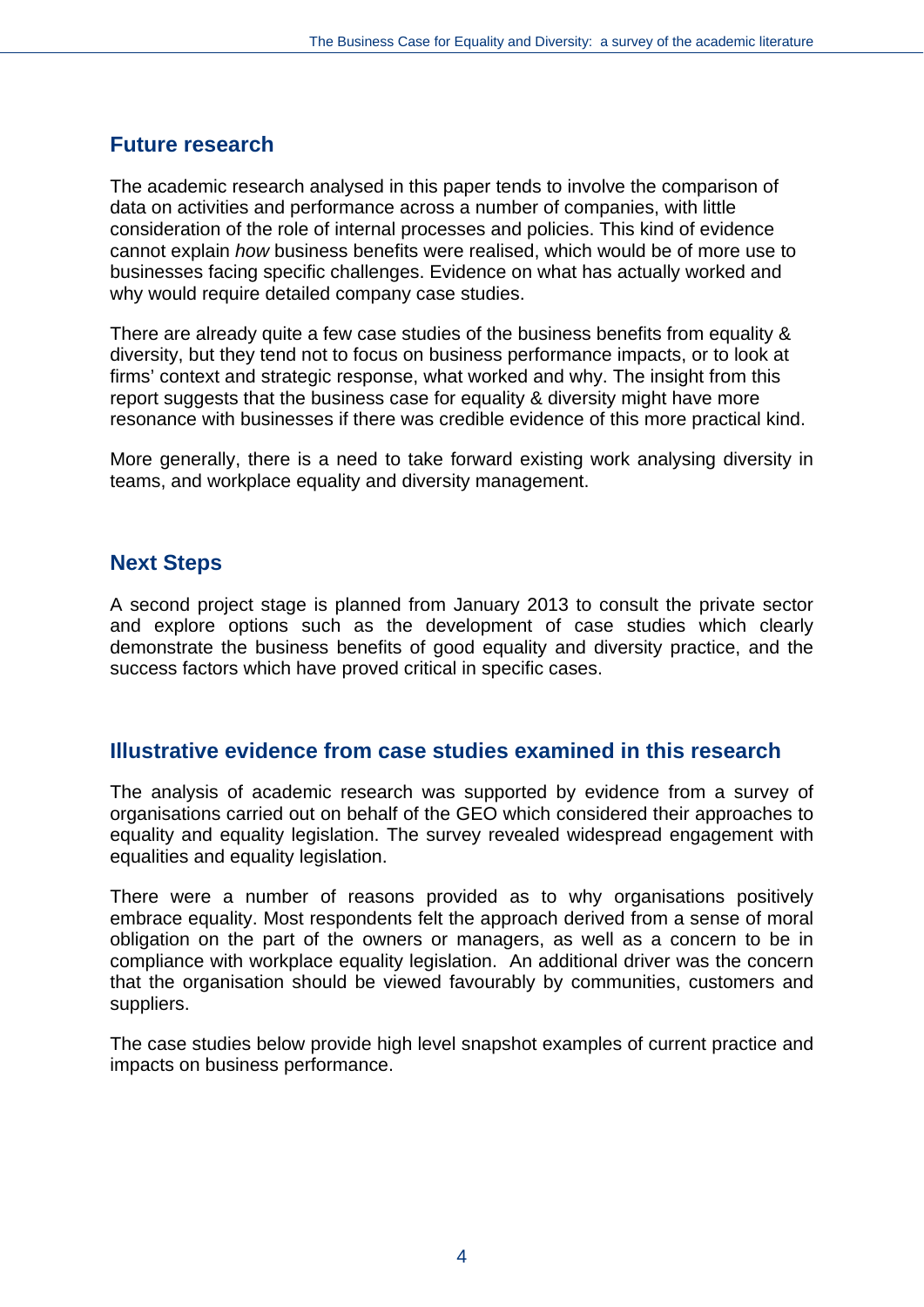## **Future research**

The academic research analysed in this paper tends to involve the comparison of data on activities and performance across a number of companies, with little consideration of the role of internal processes and policies. This kind of evidence cannot explain *how* business benefits were realised, which would be of more use to businesses facing specific challenges. Evidence on what has actually worked and why would require detailed company case studies.

There are already quite a few case studies of the business benefits from equality & diversity, but they tend not to focus on business performance impacts, or to look at firms' context and strategic response, what worked and why. The insight from this report suggests that the business case for equality & diversity might have more resonance with businesses if there was credible evidence of this more practical kind.

More generally, there is a need to take forward existing work analysing diversity in teams, and workplace equality and diversity management.

## **Next Steps**

A second project stage is planned from January 2013 to consult the private sector and explore options such as the development of case studies which clearly demonstrate the business benefits of good equality and diversity practice, and the success factors which have proved critical in specific cases.

## **Illustrative evidence from case studies examined in this research**

The analysis of academic research was supported by evidence from a survey of organisations carried out on behalf of the GEO which considered their approaches to equality and equality legislation. The survey revealed widespread engagement with equalities and equality legislation.

There were a number of reasons provided as to why organisations positively embrace equality. Most respondents felt the approach derived from a sense of moral obligation on the part of the owners or managers, as well as a concern to be in compliance with workplace equality legislation. An additional driver was the concern that the organisation should be viewed favourably by communities, customers and suppliers.

The case studies below provide high level snapshot examples of current practice and impacts on business performance.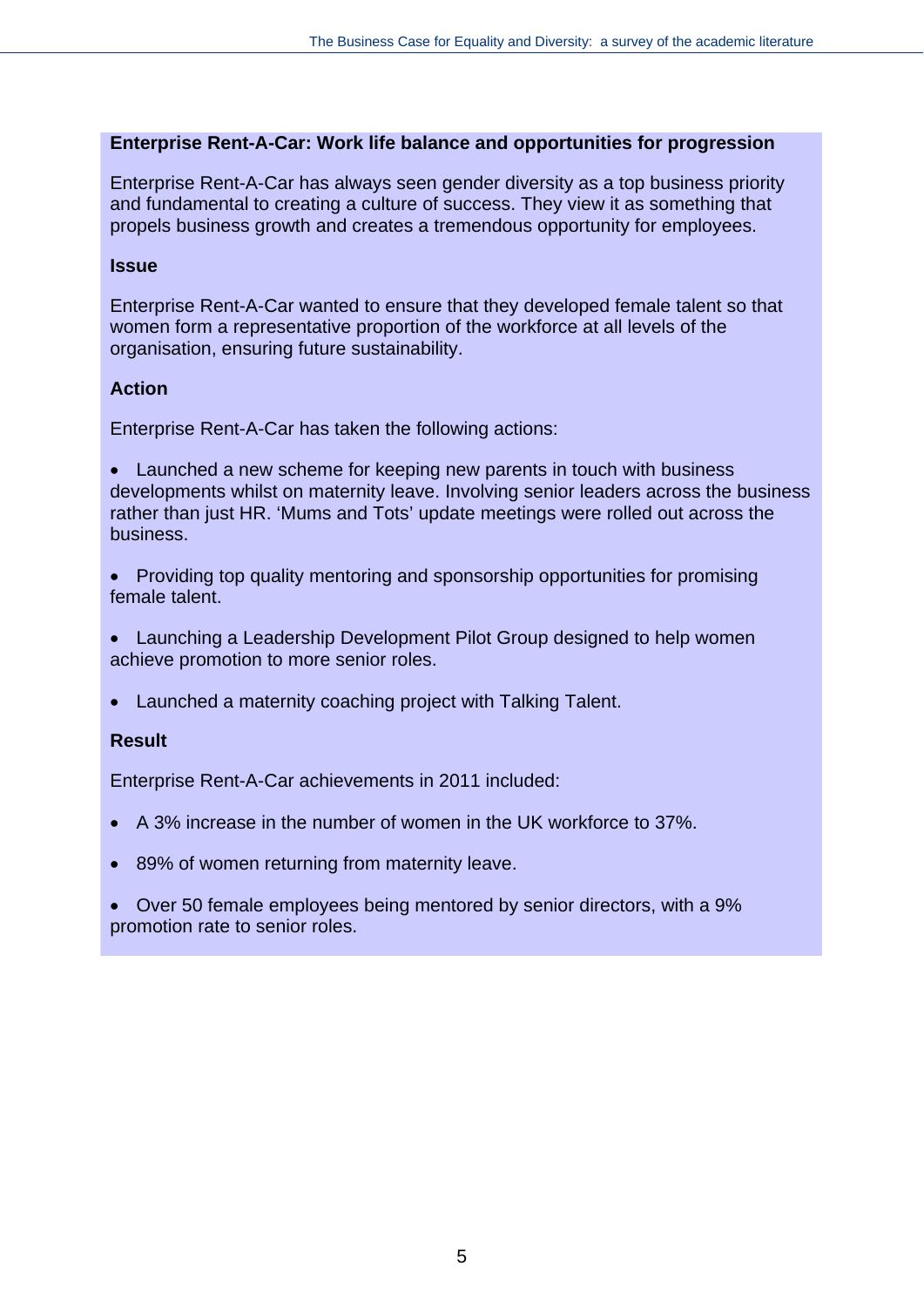#### **Enterprise Rent-A-Car: Work life balance and opportunities for progression**

Enterprise Rent-A-Car has always seen gender diversity as a top business priority and fundamental to creating a culture of success. They view it as something that propels business growth and creates a tremendous opportunity for employees.

#### **Issue**

Enterprise Rent-A-Car wanted to ensure that they developed female talent so that women form a representative proportion of the workforce at all levels of the organisation, ensuring future sustainability.

#### **Action**

Enterprise Rent-A-Car has taken the following actions:

• Launched a new scheme for keeping new parents in touch with business developments whilst on maternity leave. Involving senior leaders across the business rather than just HR. 'Mums and Tots' update meetings were rolled out across the business.

 Providing top quality mentoring and sponsorship opportunities for promising female talent.

 Launching a Leadership Development Pilot Group designed to help women achieve promotion to more senior roles.

Launched a maternity coaching project with Talking Talent.

#### **Result**

Enterprise Rent-A-Car achievements in 2011 included:

- A 3% increase in the number of women in the UK workforce to 37%.
- 89% of women returning from maternity leave.

 Over 50 female employees being mentored by senior directors, with a 9% promotion rate to senior roles.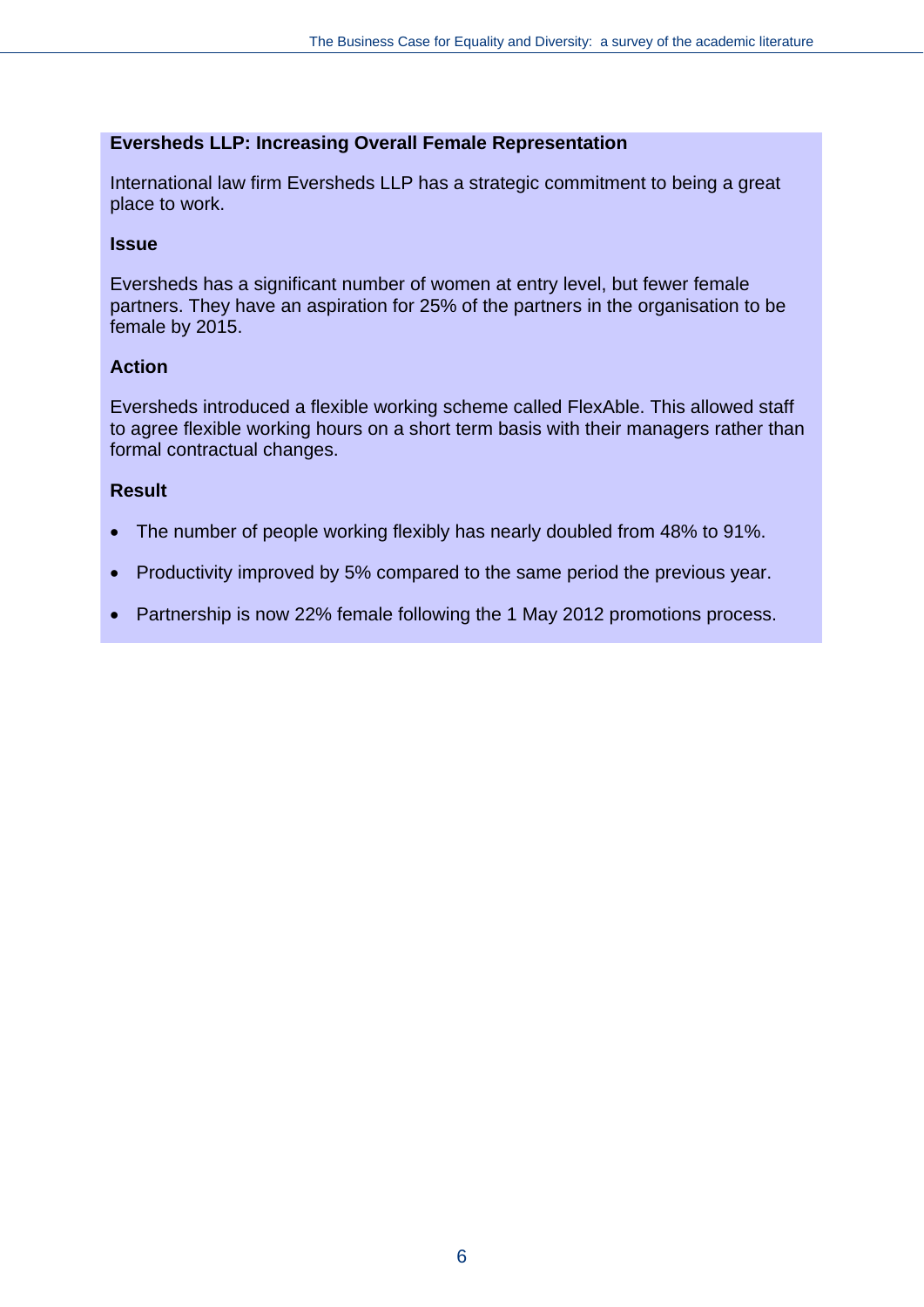#### **Eversheds LLP: Increasing Overall Female Representation**

International law firm Eversheds LLP has a strategic commitment to being a great place to work.

#### **Issue**

Eversheds has a significant number of women at entry level, but fewer female partners. They have an aspiration for 25% of the partners in the organisation to be female by 2015.

#### **Action**

Eversheds introduced a flexible working scheme called FlexAble. This allowed staff to agree flexible working hours on a short term basis with their managers rather than formal contractual changes.

#### **Result**

- The number of people working flexibly has nearly doubled from 48% to 91%.
- Productivity improved by 5% compared to the same period the previous year.
- Partnership is now 22% female following the 1 May 2012 promotions process.